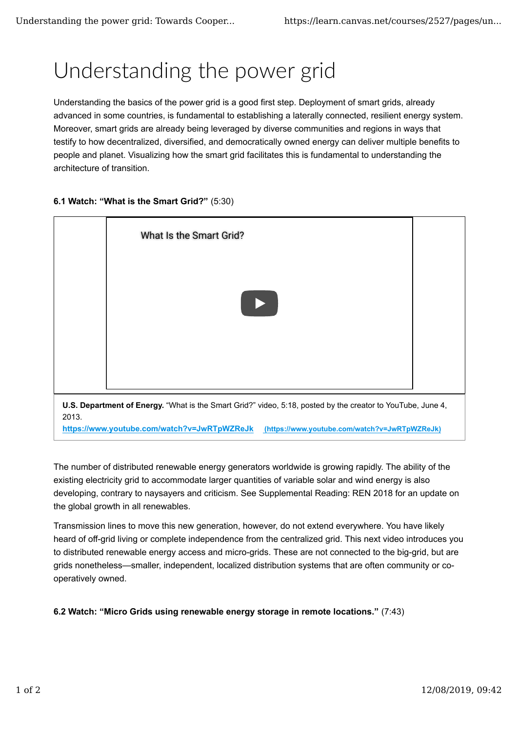## Understanding the power grid

Understanding the basics of the power grid is a good first step. Deployment of smart grids, already advanced in some countries, is fundamental to establishing a laterally connected, resilient energy system. Moreover, smart grids are already being leveraged by diverse communities and regions in ways that testify to how decentralized, diversified, and democratically owned energy can deliver multiple benefits to people and planet. Visualizing how the smart grid facilitates this is fundamental to understanding the architecture of transition.





The number of distributed renewable energy generators worldwide is growing rapidly. The ability of the existing electricity grid to accommodate larger quantities of variable solar and wind energy is also developing, contrary to naysayers and criticism. See Supplemental Reading: REN 2018 for an update on the global growth in all renewables.

Transmission lines to move this new generation, however, do not extend everywhere. You have likely heard of off-grid living or complete independence from the centralized grid. This next video introduces you to distributed renewable energy access and micro-grids. These are not connected to the big-grid, but are grids nonetheless—smaller, independent, localized distribution systems that are often community or cooperatively owned.

**6.2 Watch: "Micro Grids using renewable energy storage in remote locations."** (7:43)